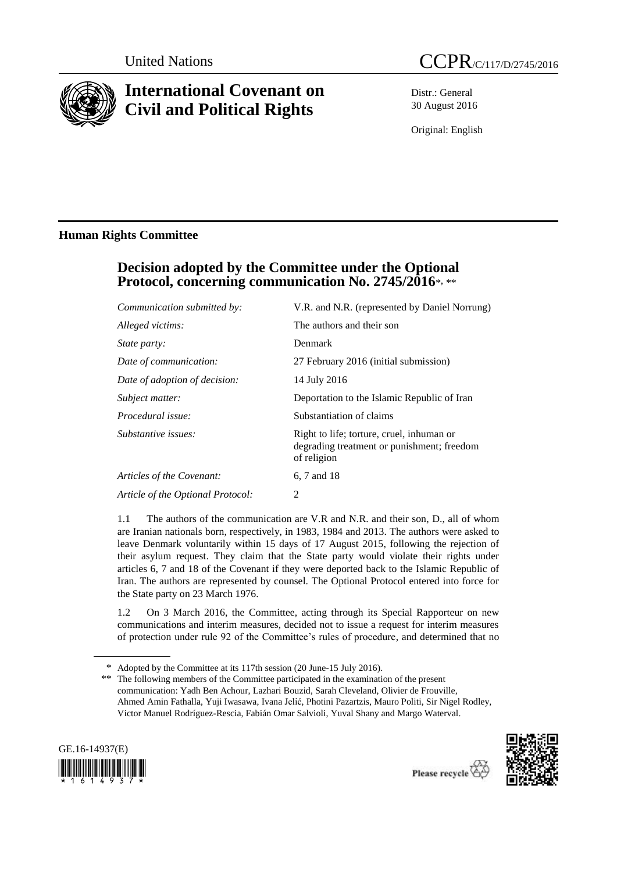

# **International Covenant on Civil and Political Rights**

Distr.: General 30 August 2016

Original: English

### **Human Rights Committee**

## **Decision adopted by the Committee under the Optional Protocol, concerning communication No. 2745/2016**\*, \*\*

| Communication submitted by:       | V.R. and N.R. (represented by Daniel Norrung)                                                          |
|-----------------------------------|--------------------------------------------------------------------------------------------------------|
| Alleged victims:                  | The authors and their son                                                                              |
| State party:                      | Denmark                                                                                                |
| Date of communication:            | 27 February 2016 (initial submission)                                                                  |
| Date of adoption of decision:     | 14 July 2016                                                                                           |
| Subject matter:                   | Deportation to the Islamic Republic of Iran                                                            |
| Procedural issue:                 | Substantiation of claims                                                                               |
| Substantive issues:               | Right to life; torture, cruel, inhuman or<br>degrading treatment or punishment; freedom<br>of religion |
| Articles of the Covenant:         | 6, 7 and 18                                                                                            |
| Article of the Optional Protocol: | 2                                                                                                      |

1.1 The authors of the communication are V.R and N.R. and their son, D., all of whom are Iranian nationals born, respectively, in 1983, 1984 and 2013. The authors were asked to leave Denmark voluntarily within 15 days of 17 August 2015, following the rejection of their asylum request. They claim that the State party would violate their rights under articles 6, 7 and 18 of the Covenant if they were deported back to the Islamic Republic of Iran. The authors are represented by counsel. The Optional Protocol entered into force for the State party on 23 March 1976.

1.2 On 3 March 2016, the Committee, acting through its Special Rapporteur on new communications and interim measures, decided not to issue a request for interim measures of protection under rule 92 of the Committee's rules of procedure, and determined that no

<sup>\*\*</sup> The following members of the Committee participated in the examination of the present communication: Yadh Ben Achour, Lazhari Bouzid, Sarah Cleveland, Olivier de Frouville, Ahmed Amin Fathalla, Yuji Iwasawa, Ivana Jelić, Photini Pazartzis, Mauro Politi, Sir Nigel Rodley, Victor Manuel Rodríguez-Rescia, Fabián Omar Salvioli, Yuval Shany and Margo Waterval.





<sup>\*</sup> Adopted by the Committee at its 117th session (20 June-15 July 2016).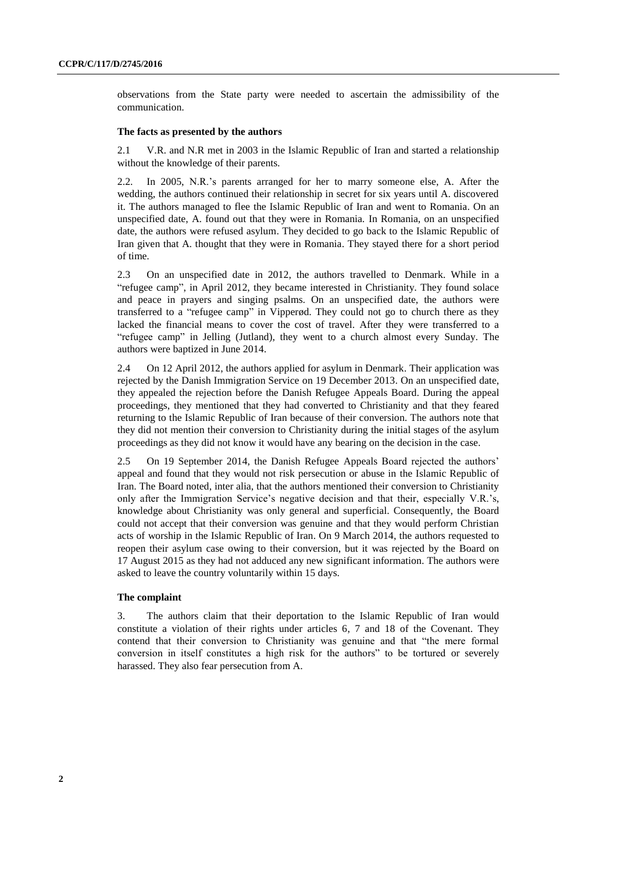observations from the State party were needed to ascertain the admissibility of the communication.

### **The facts as presented by the authors**

2.1 V.R. and N.R met in 2003 in the Islamic Republic of Iran and started a relationship without the knowledge of their parents.

2.2. In 2005, N.R.'s parents arranged for her to marry someone else, A. After the wedding, the authors continued their relationship in secret for six years until A. discovered it. The authors managed to flee the Islamic Republic of Iran and went to Romania. On an unspecified date, A. found out that they were in Romania. In Romania, on an unspecified date, the authors were refused asylum. They decided to go back to the Islamic Republic of Iran given that A. thought that they were in Romania. They stayed there for a short period of time.

2.3 On an unspecified date in 2012, the authors travelled to Denmark. While in a "refugee camp", in April 2012, they became interested in Christianity. They found solace and peace in prayers and singing psalms. On an unspecified date, the authors were transferred to a "refugee camp" in Vipperød. They could not go to church there as they lacked the financial means to cover the cost of travel. After they were transferred to a "refugee camp" in Jelling (Jutland), they went to a church almost every Sunday. The authors were baptized in June 2014.

2.4 On 12 April 2012, the authors applied for asylum in Denmark. Their application was rejected by the Danish Immigration Service on 19 December 2013. On an unspecified date, they appealed the rejection before the Danish Refugee Appeals Board. During the appeal proceedings, they mentioned that they had converted to Christianity and that they feared returning to the Islamic Republic of Iran because of their conversion. The authors note that they did not mention their conversion to Christianity during the initial stages of the asylum proceedings as they did not know it would have any bearing on the decision in the case.

2.5 On 19 September 2014, the Danish Refugee Appeals Board rejected the authors' appeal and found that they would not risk persecution or abuse in the Islamic Republic of Iran. The Board noted, inter alia, that the authors mentioned their conversion to Christianity only after the Immigration Service's negative decision and that their, especially V.R.'s, knowledge about Christianity was only general and superficial. Consequently, the Board could not accept that their conversion was genuine and that they would perform Christian acts of worship in the Islamic Republic of Iran. On 9 March 2014, the authors requested to reopen their asylum case owing to their conversion, but it was rejected by the Board on 17 August 2015 as they had not adduced any new significant information. The authors were asked to leave the country voluntarily within 15 days.

#### **The complaint**

3. The authors claim that their deportation to the Islamic Republic of Iran would constitute a violation of their rights under articles 6, 7 and 18 of the Covenant. They contend that their conversion to Christianity was genuine and that "the mere formal conversion in itself constitutes a high risk for the authors" to be tortured or severely harassed. They also fear persecution from A.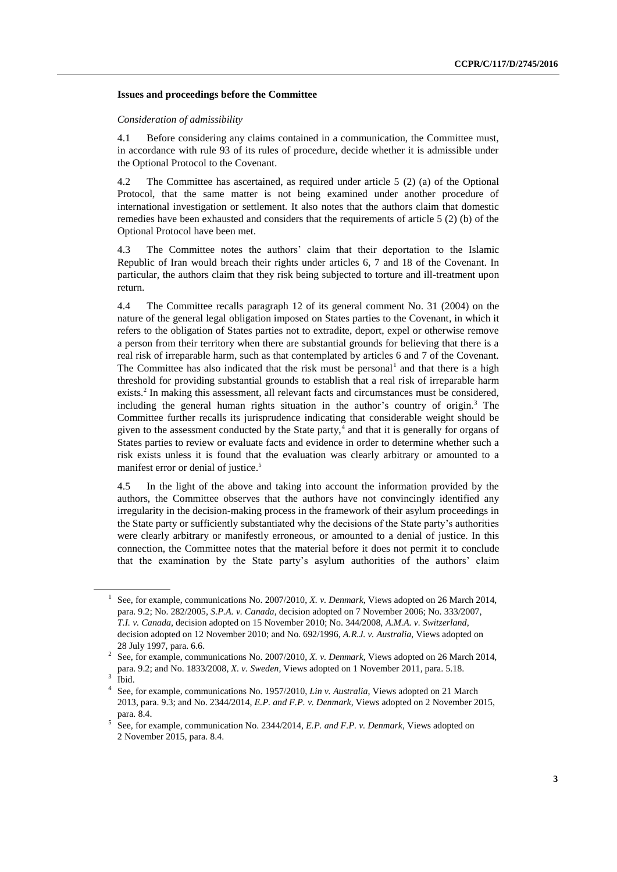#### **Issues and proceedings before the Committee**

#### *Consideration of admissibility*

4.1 Before considering any claims contained in a communication, the Committee must, in accordance with rule 93 of its rules of procedure, decide whether it is admissible under the Optional Protocol to the Covenant.

4.2 The Committee has ascertained, as required under article 5 (2) (a) of the Optional Protocol, that the same matter is not being examined under another procedure of international investigation or settlement. It also notes that the authors claim that domestic remedies have been exhausted and considers that the requirements of article 5 (2) (b) of the Optional Protocol have been met.

4.3 The Committee notes the authors' claim that their deportation to the Islamic Republic of Iran would breach their rights under articles 6, 7 and 18 of the Covenant. In particular, the authors claim that they risk being subjected to torture and ill-treatment upon return.

4.4 The Committee recalls paragraph 12 of its general comment No. 31 (2004) on the nature of the general legal obligation imposed on States parties to the Covenant, in which it refers to the obligation of States parties not to extradite, deport, expel or otherwise remove a person from their territory when there are substantial grounds for believing that there is a real risk of irreparable harm, such as that contemplated by articles 6 and 7 of the Covenant. The Committee has also indicated that the risk must be personal<sup>1</sup> and that there is a high threshold for providing substantial grounds to establish that a real risk of irreparable harm exists.<sup>2</sup> In making this assessment, all relevant facts and circumstances must be considered, including the general human rights situation in the author's country of origin.<sup>3</sup> The Committee further recalls its jurisprudence indicating that considerable weight should be given to the assessment conducted by the State party, $4$  and that it is generally for organs of States parties to review or evaluate facts and evidence in order to determine whether such a risk exists unless it is found that the evaluation was clearly arbitrary or amounted to a manifest error or denial of justice. 5

4.5 In the light of the above and taking into account the information provided by the authors, the Committee observes that the authors have not convincingly identified any irregularity in the decision-making process in the framework of their asylum proceedings in the State party or sufficiently substantiated why the decisions of the State party's authorities were clearly arbitrary or manifestly erroneous, or amounted to a denial of justice. In this connection, the Committee notes that the material before it does not permit it to conclude that the examination by the State party's asylum authorities of the authors' claim

<sup>&</sup>lt;sup>1</sup> See, for example, communications No. 2007/2010, *X. v. Denmark*, Views adopted on 26 March 2014, para. 9.2; No. 282/2005, *S.P.A. v. Canada*, decision adopted on 7 November 2006; No. 333/2007, *T.I. v. Canada*, decision adopted on 15 November 2010; No. 344/2008, *A.M.A. v. Switzerland*, decision adopted on 12 November 2010; and No. 692/1996, *A.R.J. v. Australia,* Views adopted on 28 July 1997, para. 6.6.

<sup>2</sup> See, for example, communications No. 2007/2010, *X. v. Denmark*, Views adopted on 26 March 2014, para. 9.2; and No. 1833/2008*, X. v. Sweden*, Views adopted on 1 November 2011, para. 5.18. 3

Ibid.

<sup>4</sup> See, for example, communications No. 1957/2010, *Lin v. Australia*, Views adopted on 21 March 2013, para. 9.3; and No. 2344/2014, *E.P. and F.P. v. Denmark*, Views adopted on 2 November 2015, para. 8.4.

<sup>5</sup> See, for example, communication No. 2344/2014, *E.P. and F.P. v. Denmark*, Views adopted on 2 November 2015, para. 8.4.